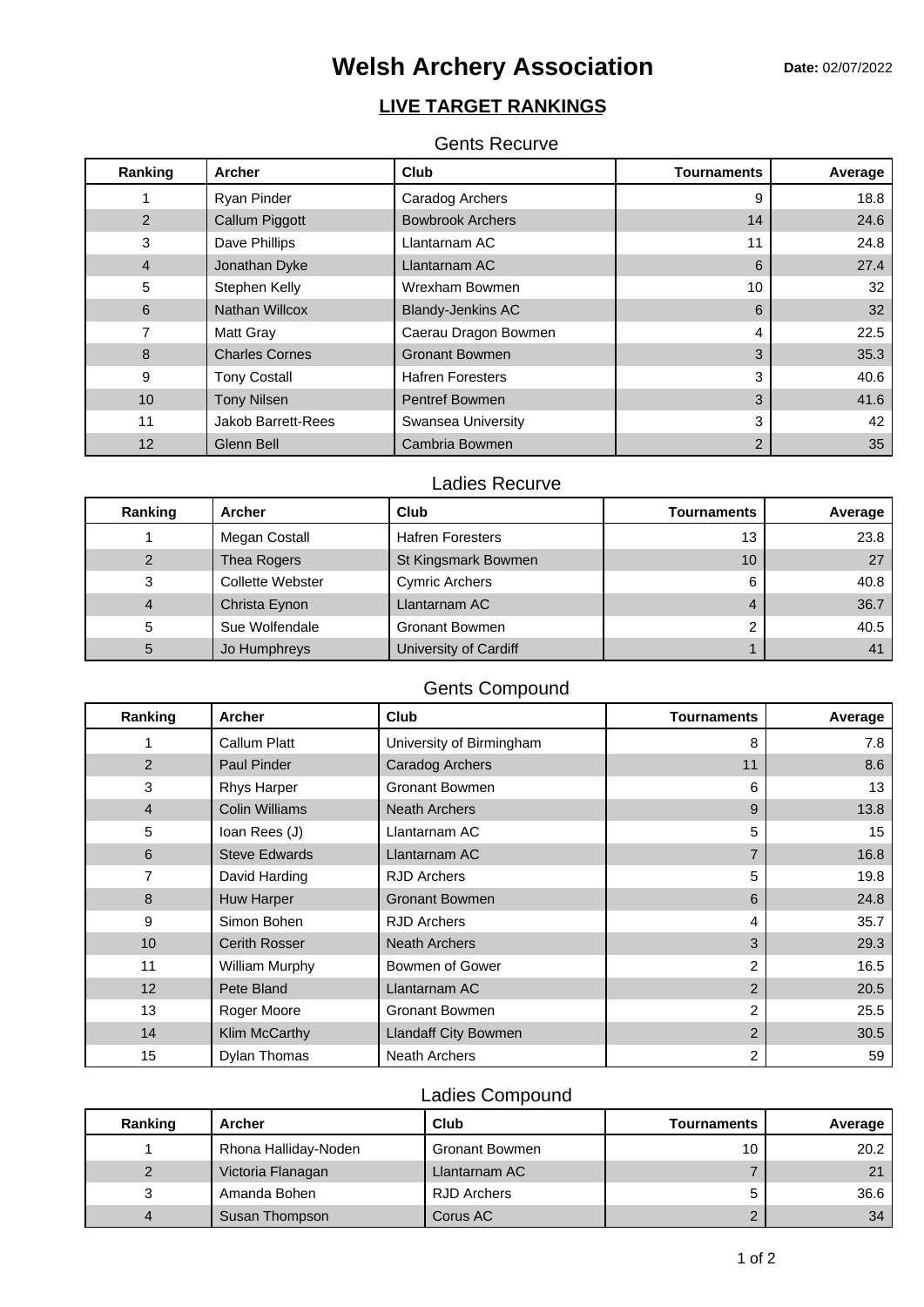# **Welsh Archery Association** Date: 02/07/2022

# **LIVE TARGET RANKINGS**

## Gents Recurve

| Ranking         | <b>Archer</b>             | Club                     | Tournaments | Average |
|-----------------|---------------------------|--------------------------|-------------|---------|
|                 | Ryan Pinder               | Caradog Archers          | 9           | 18.8    |
| $\overline{2}$  | Callum Piggott            | <b>Bowbrook Archers</b>  | 14          | 24.6    |
| 3               | Dave Phillips             | Llantarnam AC            | 11          | 24.8    |
| $\overline{4}$  | Jonathan Dyke             | Llantarnam AC            | 6           | 27.4    |
| 5               | Stephen Kelly             | Wrexham Bowmen           | 10          | 32      |
| 6               | <b>Nathan Willcox</b>     | <b>Blandy-Jenkins AC</b> | 6           | 32      |
|                 | <b>Matt Gray</b>          | Caerau Dragon Bowmen     | 4           | 22.5    |
| 8               | <b>Charles Cornes</b>     | <b>Gronant Bowmen</b>    | 3           | 35.3    |
| 9               | <b>Tony Costall</b>       | <b>Hafren Foresters</b>  | 3           | 40.6    |
| 10 <sup>°</sup> | <b>Tony Nilsen</b>        | <b>Pentref Bowmen</b>    | 3           | 41.6    |
| 11              | <b>Jakob Barrett-Rees</b> | Swansea University       | 3           | 42      |
| 12              | Glenn Bell                | Cambria Bowmen           | 2           | 35      |

## Ladies Recurve

| Ranking | <b>Archer</b>           | Club                    | <b>Tournaments</b> | Average |
|---------|-------------------------|-------------------------|--------------------|---------|
|         | Megan Costall           | <b>Hafren Foresters</b> | 13                 | 23.8    |
| 2       | Thea Rogers             | St Kingsmark Bowmen     | 10                 | 27      |
| 3       | <b>Collette Webster</b> | <b>Cymric Archers</b>   | 6                  | 40.8    |
| 4       | Christa Eynon           | Llantarnam AC           |                    | 36.7    |
| 5       | Sue Wolfendale          | <b>Gronant Bowmen</b>   |                    | 40.5    |
| 5       | Jo Humphreys            | University of Cardiff   |                    |         |

# Gents Compound

| Ranking        | <b>Archer</b>         | Club                     | <b>Tournaments</b> | Average |
|----------------|-----------------------|--------------------------|--------------------|---------|
|                | Callum Platt          | University of Birmingham | 8                  | 7.8     |
| 2              | <b>Paul Pinder</b>    | Caradog Archers          | 11                 | 8.6     |
| 3              | <b>Rhys Harper</b>    | <b>Gronant Bowmen</b>    | 6                  | 13      |
| $\overline{4}$ | <b>Colin Williams</b> | Neath Archers            | 9                  | 13.8    |
| 5              | Ioan Rees (J)         | Llantarnam AC            | 5                  | 15      |
| 6              | <b>Steve Edwards</b>  | Llantarnam AC            |                    | 16.8    |
| 7              | David Harding         | <b>RJD</b> Archers       | 5                  | 19.8    |
| 8              | Huw Harper            | <b>Gronant Bowmen</b>    | 6                  | 24.8    |
| 9              | Simon Bohen           | <b>RJD Archers</b>       | 4                  | 35.7    |
| 10             | <b>Cerith Rosser</b>  | <b>Neath Archers</b>     | 3                  | 29.3    |
| 11             | William Murphy        | Bowmen of Gower          | 2                  | 16.5    |
| 12             | Pete Bland            | Llantarnam AC            | 2                  | 20.5    |
| 13             | Roger Moore           | <b>Gronant Bowmen</b>    | 2                  | 25.5    |
| 14             | Klim McCarthy         | Llandaff City Bowmen     | $\overline{2}$     | 30.5    |
| 15             | Dylan Thomas          | Neath Archers            | 2                  | 59      |

## Ladies Compound

| Ranking | Archer               | Club               | <b>Tournaments</b> | Average |
|---------|----------------------|--------------------|--------------------|---------|
|         | Rhona Halliday-Noden | Gronant Bowmen     | 10                 | 20.2    |
|         | Victoria Flanagan    | Llantarnam AC      |                    | 21      |
|         | Amanda Bohen         | <b>RJD Archers</b> |                    | 36.6    |
|         | Susan Thompson       | Corus AC           |                    | 34      |